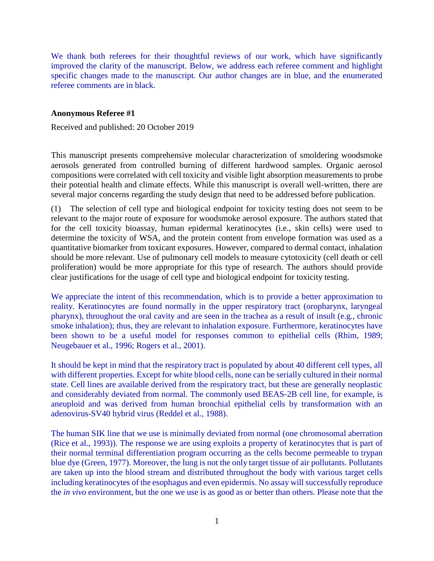We thank both referees for their thoughtful reviews of our work, which have significantly improved the clarity of the manuscript. Below, we address each referee comment and highlight specific changes made to the manuscript. Our author changes are in blue, and the enumerated referee comments are in black.

#### **Anonymous Referee #1**

Received and published: 20 October 2019

This manuscript presents comprehensive molecular characterization of smoldering woodsmoke aerosols generated from controlled burning of different hardwood samples. Organic aerosol compositions were correlated with cell toxicity and visible light absorption measurements to probe their potential health and climate effects. While this manuscript is overall well-written, there are several major concerns regarding the study design that need to be addressed before publication.

(1) The selection of cell type and biological endpoint for toxicity testing does not seem to be relevant to the major route of exposure for woodsmoke aerosol exposure. The authors stated that for the cell toxicity bioassay, human epidermal keratinocytes (i.e., skin cells) were used to determine the toxicity of WSA, and the protein content from envelope formation was used as a quantitative biomarker from toxicant exposures. However, compared to dermal contact, inhalation should be more relevant. Use of pulmonary cell models to measure cytotoxicity (cell death or cell proliferation) would be more appropriate for this type of research. The authors should provide clear justifications for the usage of cell type and biological endpoint for toxicity testing.

We appreciate the intent of this recommendation, which is to provide a better approximation to reality. Keratinocytes are found normally in the upper respiratory tract (oropharynx, laryngeal pharynx), throughout the oral cavity and are seen in the trachea as a result of insult (e.g., chronic smoke inhalation); thus, they are relevant to inhalation exposure. Furthermore, keratinocytes have been shown to be a useful model for responses common to epithelial cells (Rhim, 1989; Neugebauer et al., 1996; Rogers et al., 2001).

It should be kept in mind that the respiratory tract is populated by about 40 different cell types, all with different properties. Except for white blood cells, none can be serially cultured in their normal state. Cell lines are available derived from the respiratory tract, but these are generally neoplastic and considerably deviated from normal. The commonly used BEAS-2B cell line, for example, is aneuploid and was derived from human bronchial epithelial cells by transformation with an adenovirus-SV40 hybrid virus (Reddel et al., 1988).

The human SIK line that we use is minimally deviated from normal (one chromosomal aberration (Rice et al., 1993)). The response we are using exploits a property of keratinocytes that is part of their normal terminal differentiation program occurring as the cells become permeable to trypan blue dye (Green, 1977). Moreover, the lung is not the only target tissue of air pollutants. Pollutants are taken up into the blood stream and distributed throughout the body with various target cells including keratinocytes of the esophagus and even epidermis. No assay will successfully reproduce the *in vivo* environment, but the one we use is as good as or better than others. Please note that the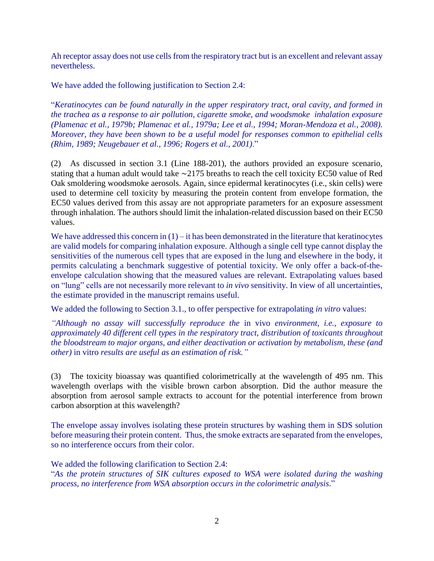Ah receptor assay does not use cells from the respiratory tract but is an excellent and relevant assay nevertheless.

We have added the following justification to Section 2.4:

"*Keratinocytes can be found naturally in the upper respiratory tract, oral cavity, and formed in the trachea as a response to air pollution, cigarette smoke, and woodsmoke inhalation exposure (Plamenac et al., 1979b; Plamenac et al., 1979a; Lee et al., 1994; Moran-Mendoza et al., 2008). Moreover, they have been shown to be a useful model for responses common to epithelial cells (Rhim, 1989; Neugebauer et al., 1996; Rogers et al., 2001)*."

(2) As discussed in section 3.1 (Line 188-201), the authors provided an exposure scenario, stating that a human adult would take ∼2175 breaths to reach the cell toxicity EC50 value of Red Oak smoldering woodsmoke aerosols. Again, since epidermal keratinocytes (i.e., skin cells) were used to determine cell toxicity by measuring the protein content from envelope formation, the EC50 values derived from this assay are not appropriate parameters for an exposure assessment through inhalation. The authors should limit the inhalation-related discussion based on their EC50 values.

We have addressed this concern in  $(1)$  – it has been demonstrated in the literature that keratinocytes are valid models for comparing inhalation exposure. Although a single cell type cannot display the sensitivities of the numerous cell types that are exposed in the lung and elsewhere in the body, it permits calculating a benchmark suggestive of potential toxicity. We only offer a back-of-theenvelope calculation showing that the measured values are relevant. Extrapolating values based on "lung" cells are not necessarily more relevant to *in vivo* sensitivity. In view of all uncertainties, the estimate provided in the manuscript remains useful.

We added the following to Section 3.1., to offer perspective for extrapolating *in vitro* values:

*"Although no assay will successfully reproduce the* in vivo *environment, i.e., exposure to approximately 40 different cell types in the respiratory tract, distribution of toxicants throughout the bloodstream to major organs, and either deactivation or activation by metabolism, these (and other)* in vitro *results are useful as an estimation of risk."*

(3) The toxicity bioassay was quantified colorimetrically at the wavelength of 495 nm. This wavelength overlaps with the visible brown carbon absorption. Did the author measure the absorption from aerosol sample extracts to account for the potential interference from brown carbon absorption at this wavelength?

The envelope assay involves isolating these protein structures by washing them in SDS solution before measuring their protein content. Thus, the smoke extracts are separated from the envelopes, so no interference occurs from their color.

We added the following clarification to Section 2.4: "*As the protein structures of SIK cultures exposed to WSA were isolated during the washing process, no interference from WSA absorption occurs in the colorimetric analysis*."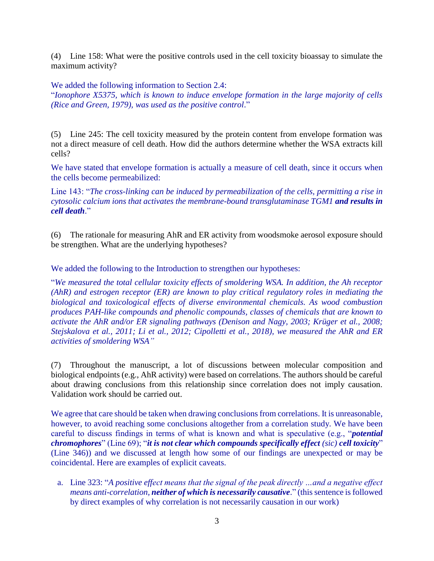(4) Line 158: What were the positive controls used in the cell toxicity bioassay to simulate the maximum activity?

## We added the following information to Section 2.4:

"*Ionophore X5375, which is known to induce envelope formation in the large majority of cells (Rice and Green, 1979), was used as the positive control*."

(5) Line 245: The cell toxicity measured by the protein content from envelope formation was not a direct measure of cell death. How did the authors determine whether the WSA extracts kill cells?

We have stated that envelope formation is actually a measure of cell death, since it occurs when the cells become permeabilized:

Line 143: "*The cross-linking can be induced by permeabilization of the cells, permitting a rise in cytosolic calcium ions that activates the membrane-bound transglutaminase TGM1 and results in cell death*."

(6) The rationale for measuring AhR and ER activity from woodsmoke aerosol exposure should be strengthen. What are the underlying hypotheses?

We added the following to the Introduction to strengthen our hypotheses:

"*We measured the total cellular toxicity effects of smoldering WSA. In addition, the Ah receptor (AhR) and estrogen receptor (ER) are known to play critical regulatory roles in mediating the biological and toxicological effects of diverse environmental chemicals. As wood combustion produces PAH-like compounds and phenolic compounds, classes of chemicals that are known to activate the AhR and/or ER signaling pathways (Denison and Nagy, 2003; Krüger et al., 2008; Stejskalova et al., 2011; Li et al., 2012; Cipolletti et al., 2018), we measured the AhR and ER activities of smoldering WSA"*

(7) Throughout the manuscript, a lot of discussions between molecular composition and biological endpoints (e.g., AhR activity) were based on correlations. The authors should be careful about drawing conclusions from this relationship since correlation does not imply causation. Validation work should be carried out.

We agree that care should be taken when drawing conclusions from correlations. It is unreasonable, however, to avoid reaching some conclusions altogether from a correlation study. We have been careful to discuss findings in terms of what is known and what is speculative (e.g., "*potential chromophores*" (Line 69); "*it is not clear which compounds specifically effect (sic) cell toxicity*" (Line 346)) and we discussed at length how some of our findings are unexpected or may be coincidental. Here are examples of explicit caveats.

a. Line 323: "*A positive effect means that the signal of the peak directly …and a negative effect means anti-correlation, neither of which is necessarily causative*." (this sentence is followed by direct examples of why correlation is not necessarily causation in our work)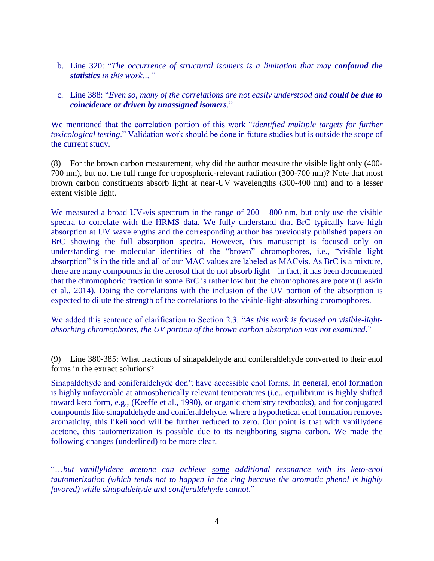- b. Line 320: "*The occurrence of structural isomers is a limitation that may confound the statistics in this work…"*
- c. Line 388: "*Even so, many of the correlations are not easily understood and could be due to coincidence or driven by unassigned isomers*."

We mentioned that the correlation portion of this work "*identified multiple targets for further toxicological testing*." Validation work should be done in future studies but is outside the scope of the current study.

(8) For the brown carbon measurement, why did the author measure the visible light only (400- 700 nm), but not the full range for tropospheric-relevant radiation (300-700 nm)? Note that most brown carbon constituents absorb light at near-UV wavelengths (300-400 nm) and to a lesser extent visible light.

We measured a broad UV-vis spectrum in the range of  $200 - 800$  nm, but only use the visible spectra to correlate with the HRMS data. We fully understand that BrC typically have high absorption at UV wavelengths and the corresponding author has previously published papers on BrC showing the full absorption spectra. However, this manuscript is focused only on understanding the molecular identities of the "brown" chromophores, i.e., "visible light absorption" is in the title and all of our MAC values are labeled as MACvis. As BrC is a mixture, there are many compounds in the aerosol that do not absorb light – in fact, it has been documented that the chromophoric fraction in some BrC is rather low but the chromophores are potent (Laskin et al., 2014). Doing the correlations with the inclusion of the UV portion of the absorption is expected to dilute the strength of the correlations to the visible-light-absorbing chromophores.

We added this sentence of clarification to Section 2.3. "*As this work is focused on visible-lightabsorbing chromophores, the UV portion of the brown carbon absorption was not examined*."

(9) Line 380-385: What fractions of sinapaldehyde and coniferaldehyde converted to their enol forms in the extract solutions?

Sinapaldehyde and coniferaldehyde don't have accessible enol forms. In general, enol formation is highly unfavorable at atmospherically relevant temperatures (i.e., equilibrium is highly shifted toward keto form, e.g., (Keeffe et al., 1990), or organic chemistry textbooks), and for conjugated compounds like sinapaldehyde and coniferaldehyde, where a hypothetical enol formation removes aromaticity, this likelihood will be further reduced to zero. Our point is that with vanillydene acetone, this tautomerization is possible due to its neighboring sigma carbon. We made the following changes (underlined) to be more clear.

"…*but vanillylidene acetone can achieve some additional resonance with its keto-enol tautomerization (which tends not to happen in the ring because the aromatic phenol is highly favored) while sinapaldehyde and coniferaldehyde cannot*."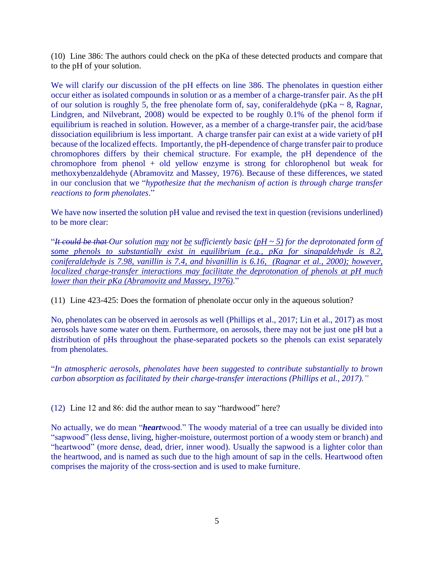(10) Line 386: The authors could check on the pKa of these detected products and compare that to the pH of your solution.

We will clarify our discussion of the pH effects on line 386. The phenolates in question either occur either as isolated compounds in solution or as a member of a charge-transfer pair. As the pH of our solution is roughly 5, the free phenolate form of, say, coniferaldehyde ( $pKa \sim 8$ , Ragnar, Lindgren, and Nilvebrant, 2008) would be expected to be roughly 0.1% of the phenol form if equilibrium is reached in solution. However, as a member of a charge-transfer pair, the acid/base dissociation equilibrium is less important. A charge transfer pair can exist at a wide variety of pH because of the localized effects. Importantly, the pH-dependence of charge transfer pair to produce chromophores differs by their chemical structure. For example, the pH dependence of the chromophore from phenol + old yellow enzyme is strong for chlorophenol but weak for methoxybenzaldehyde (Abramovitz and Massey, 1976). Because of these differences, we stated in our conclusion that we "*hypothesize that the mechanism of action is through charge transfer reactions to form phenolates*."

We have now inserted the solution pH value and revised the text in question (revisions underlined) to be more clear:

"*It could be that Our solution may not be sufficiently basic (pH ~ 5) for the deprotonated form of some phenols to substantially exist in equilibrium (e.g., pKa for sinapaldehyde is 8.2, coniferaldehyde is 7.98, vanillin is 7.4, and bivanillin is 6.16, (Ragnar et al., 2000); however, localized charge-transfer interactions may facilitate the deprotonation of phenols at pH much lower than their pKa (Abramovitz and Massey, 1976)*."

(11) Line 423-425: Does the formation of phenolate occur only in the aqueous solution?

No, phenolates can be observed in aerosols as well (Phillips et al., 2017; Lin et al., 2017) as most aerosols have some water on them. Furthermore, on aerosols, there may not be just one pH but a distribution of pHs throughout the phase-separated pockets so the phenols can exist separately from phenolates.

"*In atmospheric aerosols, phenolates have been suggested to contribute substantially to brown carbon absorption as facilitated by their charge-transfer interactions (Phillips et al., 2017)."*

(12) Line 12 and 86: did the author mean to say "hardwood" here?

No actually, we do mean "*heart*wood." The woody material of a tree can usually be divided into "sapwood" (less dense, living, higher-moisture, outermost portion of a woody stem or branch) and "heartwood" (more dense, dead, drier, inner wood). Usually the sapwood is a lighter color than the heartwood, and is named as such due to the high amount of sap in the cells. Heartwood often comprises the majority of the cross-section and is used to make furniture.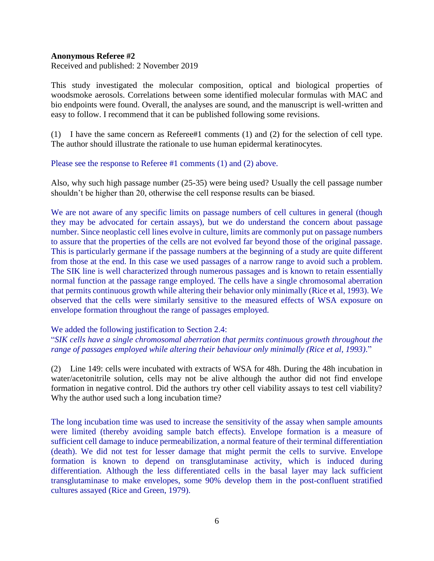### **Anonymous Referee #2**

Received and published: 2 November 2019

This study investigated the molecular composition, optical and biological properties of woodsmoke aerosols. Correlations between some identified molecular formulas with MAC and bio endpoints were found. Overall, the analyses are sound, and the manuscript is well-written and easy to follow. I recommend that it can be published following some revisions.

(1) I have the same concern as Referee#1 comments (1) and (2) for the selection of cell type. The author should illustrate the rationale to use human epidermal keratinocytes.

### Please see the response to Referee #1 comments (1) and (2) above.

Also, why such high passage number (25-35) were being used? Usually the cell passage number shouldn't be higher than 20, otherwise the cell response results can be biased.

We are not aware of any specific limits on passage numbers of cell cultures in general (though they may be advocated for certain assays), but we do understand the concern about passage number. Since neoplastic cell lines evolve in culture, limits are commonly put on passage numbers to assure that the properties of the cells are not evolved far beyond those of the original passage. This is particularly germane if the passage numbers at the beginning of a study are quite different from those at the end. In this case we used passages of a narrow range to avoid such a problem. The SIK line is well characterized through numerous passages and is known to retain essentially normal function at the passage range employed. The cells have a single chromosomal aberration that permits continuous growth while altering their behavior only minimally (Rice et al, 1993). We observed that the cells were similarly sensitive to the measured effects of WSA exposure on envelope formation throughout the range of passages employed.

# We added the following justification to Section 2.4:

"*SIK cells have a single chromosomal aberration that permits continuous growth throughout the range of passages employed while altering their behaviour only minimally (Rice et al, 1993)*."

(2) Line 149: cells were incubated with extracts of WSA for 48h. During the 48h incubation in water/acetonitrile solution, cells may not be alive although the author did not find envelope formation in negative control. Did the authors try other cell viability assays to test cell viability? Why the author used such a long incubation time?

The long incubation time was used to increase the sensitivity of the assay when sample amounts were limited (thereby avoiding sample batch effects). Envelope formation is a measure of sufficient cell damage to induce permeabilization, a normal feature of their terminal differentiation (death). We did not test for lesser damage that might permit the cells to survive. Envelope formation is known to depend on transglutaminase activity, which is induced during differentiation. Although the less differentiated cells in the basal layer may lack sufficient transglutaminase to make envelopes, some 90% develop them in the post-confluent stratified cultures assayed (Rice and Green, 1979).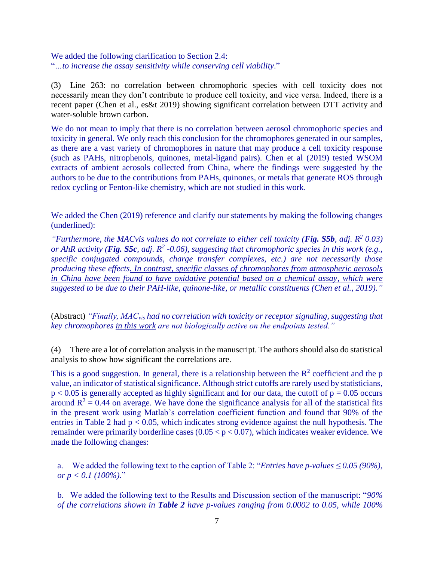We added the following clarification to Section 2.4: "*…to increase the assay sensitivity while conserving cell viability*."

(3) Line 263: no correlation between chromophoric species with cell toxicity does not necessarily mean they don't contribute to produce cell toxicity, and vice versa. Indeed, there is a recent paper (Chen et al., es&t 2019) showing significant correlation between DTT activity and water-soluble brown carbon.

We do not mean to imply that there is no correlation between aerosol chromophoric species and toxicity in general. We only reach this conclusion for the chromophores generated in our samples, as there are a vast variety of chromophores in nature that may produce a cell toxicity response (such as PAHs, nitrophenols, quinones, metal-ligand pairs). Chen et al (2019) tested WSOM extracts of ambient aerosols collected from China, where the findings were suggested by the authors to be due to the contributions from PAHs, quinones, or metals that generate ROS through redox cycling or Fenton-like chemistry, which are not studied in this work.

We added the Chen (2019) reference and clarify our statements by making the following changes (underlined):

*"Furthermore, the MACvis values do not correlate to either cell toxicity (Fig. S5b, adj. R<sup>2</sup> 0.03) or AhR activity (Fig. S5c, adj. R<sup>2</sup> -0.06), suggesting that chromophoric species in this work (e.g., specific conjugated compounds, charge transfer complexes, etc.) are not necessarily those producing these effects. In contrast, specific classes of chromophores from atmospheric aerosols in China have been found to have oxidative potential based on a chemical assay, which were suggested to be due to their PAH-like, quinone-like, or metallic constituents (Chen et al., 2019)."*

(Abstract) *"Finally, MACvis had no correlation with toxicity or receptor signaling, suggesting that key chromophores in this work are not biologically active on the endpoints tested."*

(4) There are a lot of correlation analysis in the manuscript. The authors should also do statistical analysis to show how significant the correlations are.

This is a good suggestion. In general, there is a relationship between the  $\mathbb{R}^2$  coefficient and the p value, an indicator of statistical significance. Although strict cutoffs are rarely used by statisticians,  $p < 0.05$  is generally accepted as highly significant and for our data, the cutoff of  $p = 0.05$  occurs around  $R^2 = 0.44$  on average. We have done the significance analysis for all of the statistical fits in the present work using Matlab's correlation coefficient function and found that 90% of the entries in Table 2 had  $p < 0.05$ , which indicates strong evidence against the null hypothesis. The remainder were primarily borderline cases  $(0.05 < p < 0.07)$ , which indicates weaker evidence. We made the following changes:

a. We added the following text to the caption of Table 2: "*Entries have p-values ≤ 0.05 (90%), or p < 0.1 (100%)*."

b. We added the following text to the Results and Discussion section of the manuscript: "*90% of the correlations shown in Table 2 have p-values ranging from 0.0002 to 0.05, while 100%*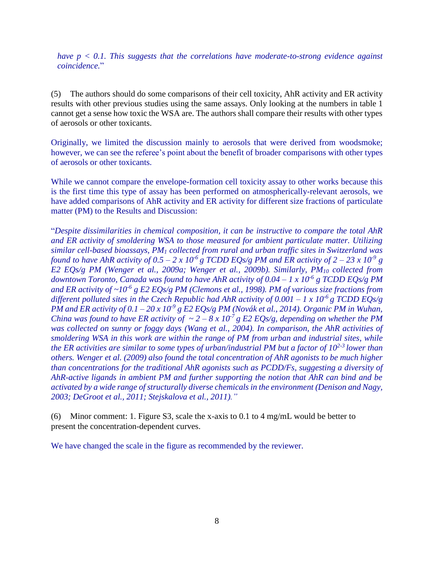*have p < 0.1. This suggests that the correlations have moderate-to-strong evidence against coincidence.*"

(5) The authors should do some comparisons of their cell toxicity, AhR activity and ER activity results with other previous studies using the same assays. Only looking at the numbers in table 1 cannot get a sense how toxic the WSA are. The authors shall compare their results with other types of aerosols or other toxicants.

Originally, we limited the discussion mainly to aerosols that were derived from woodsmoke; however, we can see the referee's point about the benefit of broader comparisons with other types of aerosols or other toxicants.

While we cannot compare the envelope-formation cell toxicity assay to other works because this is the first time this type of assay has been performed on atmospherically-relevant aerosols, we have added comparisons of AhR activity and ER activity for different size fractions of particulate matter (PM) to the Results and Discussion:

"*Despite dissimilarities in chemical composition, it can be instructive to compare the total AhR and ER activity of smoldering WSA to those measured for ambient particulate matter. Utilizing similar cell-based bioassays, PM<sup>1</sup> collected from rural and urban traffic sites in Switzerland was found to have AhR activity of*  $0.5 - 2 \times 10^{-6}$  *g TCDD EQs/g PM and ER activity of*  $2 - 23 \times 10^{-9}$  *g E2 EQs/g PM (Wenger et al., 2009a; Wenger et al., 2009b). Similarly, PM<sup>10</sup> collected from downtown Toronto, Canada was found to have AhR activity of 0.04 – 1 x 10-6 g TCDD EQs/g PM and ER activity of ~10-6 g E2 EQs/g PM (Clemons et al., 1998). PM of various size fractions from different polluted sites in the Czech Republic had AhR activity of*  $0.001 - 1 \times 10^{-6}$  *g TCDD EQs/g PM and ER activity of*  $0.1 - 20 \times 10^{-9}$  *g E2 EQs/g PM (Novák et al., 2014). Organic PM in Wuhan, China was found to have ER activity of*  $\sim 2-8 \times 10^{-7}$  *g E2 EQs/g, depending on whether the PM was collected on sunny or foggy days (Wang et al., 2004). In comparison, the AhR activities of smoldering WSA in this work are within the range of PM from urban and industrial sites, while the ER activities are similar to some types of urban/industrial PM but a factor of 102-3 lower than others. Wenger et al. (2009) also found the total concentration of AhR agonists to be much higher than concentrations for the traditional AhR agonists such as PCDD/Fs, suggesting a diversity of AhR-active ligands in ambient PM and further supporting the notion that AhR can bind and be activated by a wide range of structurally diverse chemicals in the environment (Denison and Nagy, 2003; DeGroot et al., 2011; Stejskalova et al., 2011)."*

(6) Minor comment: 1. Figure S3, scale the x-axis to 0.1 to 4 mg/mL would be better to present the concentration-dependent curves.

We have changed the scale in the figure as recommended by the reviewer.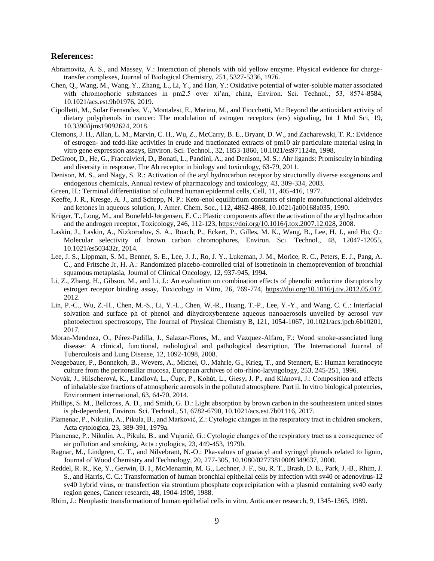#### **References:**

- Abramovitz, A. S., and Massey, V.: Interaction of phenols with old yellow enzyme. Physical evidence for chargetransfer complexes, Journal of Biological Chemistry, 251, 5327-5336, 1976.
- Chen, Q., Wang, M., Wang, Y., Zhang, L., Li, Y., and Han, Y.: Oxidative potential of water-soluble matter associated with chromophoric substances in pm2.5 over xi'an, china, Environ. Sci. Technol., 53, 8574-8584, 10.1021/acs.est.9b01976, 2019.
- Cipolletti, M., Solar Fernandez, V., Montalesi, E., Marino, M., and Fiocchetti, M.: Beyond the antioxidant activity of dietary polyphenols in cancer: The modulation of estrogen receptors (ers) signaling, Int J Mol Sci, 19, 10.3390/ijms19092624, 2018.
- Clemons, J. H., Allan, L. M., Marvin, C. H., Wu, Z., McCarry, B. E., Bryant, D. W., and Zacharewski, T. R.: Evidence of estrogen- and tcdd-like activities in crude and fractionated extracts of pm10 air particulate material using in vitro gene expression assays, Environ. Sci. Technol., 32, 1853-1860, 10.1021/es971124n, 1998.
- DeGroot, D., He, G., Fraccalvieri, D., Bonati, L., Pandini, A., and Denison, M. S.: Ahr ligands: Promiscuity in binding and diversity in response, The Ah receptor in biology and toxicology, 63-79, 2011.
- Denison, M. S., and Nagy, S. R.: Activation of the aryl hydrocarbon receptor by structurally diverse exogenous and endogenous chemicals, Annual review of pharmacology and toxicology, 43, 309-334, 2003.
- Green, H.: Terminal differentiation of cultured human epidermal cells, Cell, 11, 405-416, 1977.
- Keeffe, J. R., Kresge, A. J., and Schepp, N. P.: Keto-enol equilibrium constants of simple monofunctional aldehydes and ketones in aqueous solution, J. Amer. Chem. Soc., 112, 4862-4868, 10.1021/ja00168a035, 1990.
- Krüger, T., Long, M., and Bonefeld-Jørgensen, E. C.: Plastic components affect the activation of the aryl hydrocarbon and the androgen receptor, Toxicology, 246, 112-123[, https://doi.org/10.1016/j.tox.2007.12.028,](https://doi.org/10.1016/j.tox.2007.12.028) 2008.
- Laskin, J., Laskin, A., Nizkorodov, S. A., Roach, P., Eckert, P., Gilles, M. K., Wang, B., Lee, H. J., and Hu, Q.: Molecular selectivity of brown carbon chromophores, Environ. Sci. Technol., 48, 12047-12055, 10.1021/es503432r, 2014.
- Lee, J. S., Lippman, S. M., Benner, S. E., Lee, J. J., Ro, J. Y., Lukeman, J. M., Morice, R. C., Peters, E. J., Pang, A. C., and Fritsche Jr, H. A.: Randomized placebo-controlled trial of isotretinoin in chemoprevention of bronchial squamous metaplasia, Journal of Clinical Oncology, 12, 937-945, 1994.
- Li, Z., Zhang, H., Gibson, M., and Li, J.: An evaluation on combination effects of phenolic endocrine disruptors by estrogen receptor binding assay, Toxicology in Vitro, 26, 769-774, [https://doi.org/10.1016/j.tiv.2012.05.017,](https://doi.org/10.1016/j.tiv.2012.05.017) 2012.
- Lin, P.-C., Wu, Z.-H., Chen, M.-S., Li, Y.-L., Chen, W.-R., Huang, T.-P., Lee, Y.-Y., and Wang, C. C.: Interfacial solvation and surface ph of phenol and dihydroxybenzene aqueous nanoaerosols unveiled by aerosol vuv photoelectron spectroscopy, The Journal of Physical Chemistry B, 121, 1054-1067, 10.1021/acs.jpcb.6b10201, 2017.
- Moran-Mendoza, O., Pérez-Padilla, J., Salazar-Flores, M., and Vazquez-Alfaro, F.: Wood smoke-associated lung disease: A clinical, functional, radiological and pathological description, The International Journal of Tuberculosis and Lung Disease, 12, 1092-1098, 2008.
- Neugebauer, P., Bonnekoh, B., Wevers, A., Michel, O., Mahrle, G., Krieg, T., and Stennert, E.: Human keratinocyte culture from the peritonsillar mucosa, European archives of oto-rhino-laryngology, 253, 245-251, 1996.
- Novák, J., Hilscherová, K., Landlová, L., Čupr, P., Kohút, L., Giesy, J. P., and Klánová, J.: Composition and effects of inhalable size fractions of atmospheric aerosols in the polluted atmosphere. Part ii. In vitro biological potencies, Environment international, 63, 64-70, 2014.
- Phillips, S. M., Bellcross, A. D., and Smith, G. D.: Light absorption by brown carbon in the southeastern united states is ph-dependent, Environ. Sci. Technol., 51, 6782-6790, 10.1021/acs.est.7b01116, 2017.
- Plamenac, P., Nikulin, A., Pikula, B., and Marković, Z.: Cytologic changes in the respiratory tract in children smokers, Acta cytologica, 23, 389-391, 1979a.
- Plamenac, P., Nikulin, A., Pikula, B., and Vujanić, G.: Cytologic changes of the respiratory tract as a consequence of air pollution and smoking, Acta cytologica, 23, 449-453, 1979b.
- Ragnar, M., Lindgren, C. T., and Nilvebrant, N.-O.: Pka-values of guaiacyl and syringyl phenols related to lignin, Journal of Wood Chemistry and Technology, 20, 277-305, 10.1080/02773810009349637, 2000.
- Reddel, R. R., Ke, Y., Gerwin, B. I., McMenamin, M. G., Lechner, J. F., Su, R. T., Brash, D. E., Park, J.-B., Rhim, J. S., and Harris, C. C.: Transformation of human bronchial epithelial cells by infection with sv40 or adenovirus-12 sv40 hybrid virus, or transfection via strontium phosphate coprecipitation with a plasmid containing sv40 early region genes, Cancer research, 48, 1904-1909, 1988.
- Rhim, J.: Neoplastic transformation of human epithelial cells in vitro, Anticancer research, 9, 1345-1365, 1989.